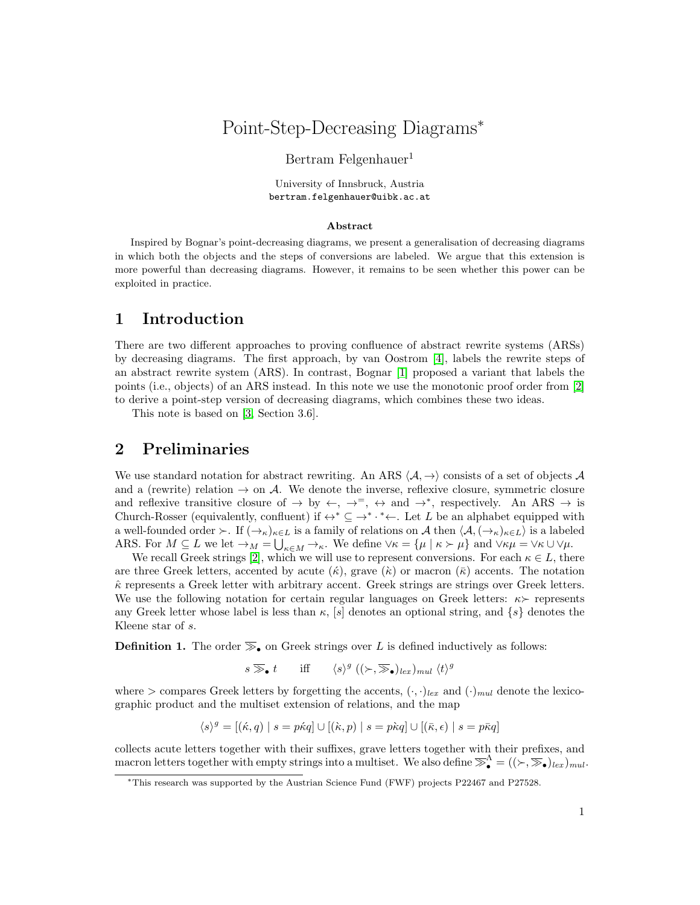# Point-Step-Decreasing Diagrams<sup>∗</sup>

#### Bertram Felgenhauer<sup>1</sup>

University of Innsbruck, Austria bertram.felgenhauer@uibk.ac.at

#### Abstract

Inspired by Bognar's point-decreasing diagrams, we present a generalisation of decreasing diagrams in which both the objects and the steps of conversions are labeled. We argue that this extension is more powerful than decreasing diagrams. However, it remains to be seen whether this power can be exploited in practice.

#### 1 Introduction

There are two different approaches to proving confluence of abstract rewrite systems (ARSs) by decreasing diagrams. The first approach, by van Oostrom [\[4\]](#page-4-0), labels the rewrite steps of an abstract rewrite system (ARS). In contrast, Bognar [\[1\]](#page-4-1) proposed a variant that labels the points (i.e., objects) of an ARS instead. In this note we use the monotonic proof order from [\[2\]](#page-4-2) to derive a point-step version of decreasing diagrams, which combines these two ideas.

This note is based on [\[3,](#page-4-3) Section 3.6].

### 2 Preliminaries

We use standard notation for abstract rewriting. An ARS  $\langle A, \rightarrow \rangle$  consists of a set of objects A and a (rewrite) relation  $\rightarrow$  on A. We denote the inverse, reflexive closure, symmetric closure and reflexive transitive closure of  $\rightarrow$  by  $\leftarrow, \rightarrow^=$ ,  $\leftrightarrow$  and  $\rightarrow^*$ , respectively. An ARS  $\rightarrow$  is Church-Rosser (equivalently, confluent) if  $\leftrightarrow^* \subseteq \rightarrow^* \cdot^* \leftarrow$ . Let L be an alphabet equipped with a well-founded order  $\succ$ . If  $(\rightarrow_{\kappa})_{\kappa\in L}$  is a family of relations on A then  $\langle A,(\rightarrow_{\kappa})_{\kappa\in L}\rangle$  is a labeled ARS. For  $M \subseteq L$  we let  $\rightarrow_M = \bigcup_{\kappa \in M} \rightarrow_{\kappa}$ . We define  $\forall \kappa = {\mu \mid \kappa > \mu}$  and  $\forall \kappa \mu = \forall \kappa \cup \forall \mu$ .

We recall Greek strings [\[2\]](#page-4-2), which we will use to represent conversions. For each  $\kappa \in L$ , there are three Greek letters, accented by acute  $(\kappa)$ , grave  $(\kappa)$  or macron  $(\bar{\kappa})$  accents. The notation  $\hat{\kappa}$  represents a Greek letter with arbitrary accent. Greek strings are strings over Greek letters. We use the following notation for certain regular languages on Greek letters:  $\kappa$  represents any Greek letter whose label is less than  $\kappa$ , [s] denotes an optional string, and  $\{s\}$  denotes the Kleene star of s.

**Definition 1.** The order  $\mathcal{F}_\bullet$  on Greek strings over L is defined inductively as follows:

$$
s \gg_{\bullet} t
$$
 iff  $\langle s \rangle^g ((\succ, \gg_{\bullet})_{lex})_{mul} \langle t \rangle^g$ 

where  $>$  compares Greek letters by forgetting the accents,  $(\cdot, \cdot)_{lex}$  and  $(\cdot)_{mul}$  denote the lexicographic product and the multiset extension of relations, and the map

$$
\langle s \rangle^g = [(\kappa, q) \mid s = p \kappa q] \cup [(\kappa, p) \mid s = p \kappa q] \cup [(\bar{\kappa}, \epsilon) \mid s = p \bar{\kappa} q]
$$

collects acute letters together with their suffixes, grave letters together with their prefixes, and macron letters together with empty strings into a multiset. We also define  $\mathbb{R}^{\Lambda}_{\bullet} = ((\succ,\mathbb{R}_{\bullet})_{lex})_{mul}$ .

<sup>∗</sup>This research was supported by the Austrian Science Fund (FWF) projects P22467 and P27528.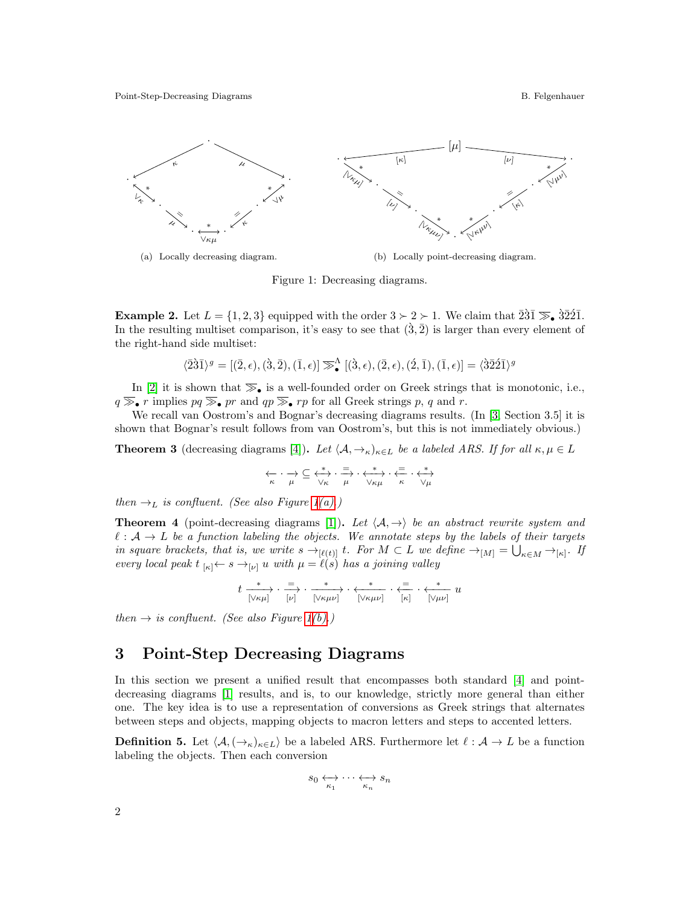<span id="page-1-1"></span><span id="page-1-0"></span>

(a) Locally decreasing diagram. (b) Locally point-decreasing diagram.

<span id="page-1-2"></span>Figure 1: Decreasing diagrams.

**Example 2.** Let  $L = \{1, 2, 3\}$  equipped with the order  $3 \succ 2 \succ 1$ . We claim that  $\overline{231} \gg \overline{3221}$ . In the resulting multiset comparison, it's easy to see that  $(\hat{3}, \hat{2})$  is larger than every element of the right-hand side multiset:

$$
\langle \bar{2}\hat{3}\bar{1}\rangle^g = [(\bar{2},\epsilon),(\hat{3},\bar{2}),(\bar{1},\epsilon)] \mathbin{\overline{\gg}}^\Lambda_\bullet [(\hat{3},\epsilon),(\bar{2},\epsilon),(\hat{2},\bar{1}),(\bar{1},\epsilon)] = \langle \hat{3}\bar{2}\hat{2}\bar{1}\rangle^g
$$

In [\[2\]](#page-4-2) it is shown that  $\overline{\gg}_{\bullet}$  is a well-founded order on Greek strings that is monotonic, i.e.,  $q \gg r$  implies  $pq \gg r$  and  $qp \gg r$  for all Greek strings p, q and r.

We recall van Oostrom's and Bognar's decreasing diagrams results. (In [\[3,](#page-4-3) Section 3.5] it is shown that Bognar's result follows from van Oostrom's, but this is not immediately obvious.)

**Theorem 3** (decreasing diagrams [\[4\]](#page-4-0)). Let  $\langle A, \to \kappa \rangle_{\kappa \in L}$  be a labeled ARS. If for all  $\kappa, \mu \in L$ 

$$
\underset{\kappa}{\longleftrightarrow}\cdot \underset{\mu}{\rightarrow}\subseteq \underset{\forall\kappa}{\overset{*}{\longleftrightarrow}}\cdot \underset{\mu}{\overset{=}{\Longrightarrow}}\cdot \underset{\forall\kappa\mu}{\overset{*}{\longleftrightarrow}}\cdot \underset{\kappa}{\overset{=}{\Longleftrightarrow}}\cdot \underset{\forall\mu}{\overset{*}{\longleftrightarrow}}
$$

then  $\rightarrow_L$  is confluent. (See also Figure [1](#page-1-0)[\(a\).](#page-1-1))

<span id="page-1-4"></span>**Theorem 4** (point-decreasing diagrams [\[1\]](#page-4-1)). Let  $\langle A, \rightarrow \rangle$  be an abstract rewrite system and  $\ell : A \to L$  be a function labeling the objects. We annotate steps by the labels of their targets in square brackets, that is, we write  $s \to_{[\ell(t)]} t$ . For  $M \subset L$  we define  $\to_{[M]} = \bigcup_{\kappa \in M} \to_{[\kappa]} L$ . If every local peak  $t_{\kappa} \leftarrow s \rightarrow_{\lbrack \nu \rbrack} u \text{ with } \mu = \ell(s)$  has a joining valley

$$
t \xrightarrow[\lbrack \mathcal{N}\kappa\mu \rbrack]{\cdot} \frac{=}{\lbrack \nu \rbrack} \cdot \frac{*}{\lbrack \mathcal{N}\kappa\mu\nu \rbrack} \cdot \frac{*}{\lbrack \mathcal{N}\kappa\mu\nu \rbrack} \cdot \frac{*}{\lbrack \kappa \rbrack} \cdot \frac{*}{\lbrack \kappa \rbrack} \cdot \frac{*}{\lbrack \mathcal{N}\mu\nu \rbrack} u
$$

then  $\rightarrow$  is confluent. (See also Figure [1](#page-1-0)[\(b\).](#page-1-2))

#### 3 Point-Step Decreasing Diagrams

In this section we present a unified result that encompasses both standard [\[4\]](#page-4-0) and pointdecreasing diagrams [\[1\]](#page-4-1) results, and is, to our knowledge, strictly more general than either one. The key idea is to use a representation of conversions as Greek strings that alternates between steps and objects, mapping objects to macron letters and steps to accented letters.

<span id="page-1-3"></span>**Definition 5.** Let  $\langle A, (\rightarrow_{\kappa})_{\kappa \in L} \rangle$  be a labeled ARS. Furthermore let  $\ell : A \to L$  be a function labeling the objects. Then each conversion

$$
s_0 \leftrightarrow \cdots \leftrightarrow s_n
$$

$$
\overrightarrow{\kappa_1} \cdots \overrightarrow{\kappa_n} s_n
$$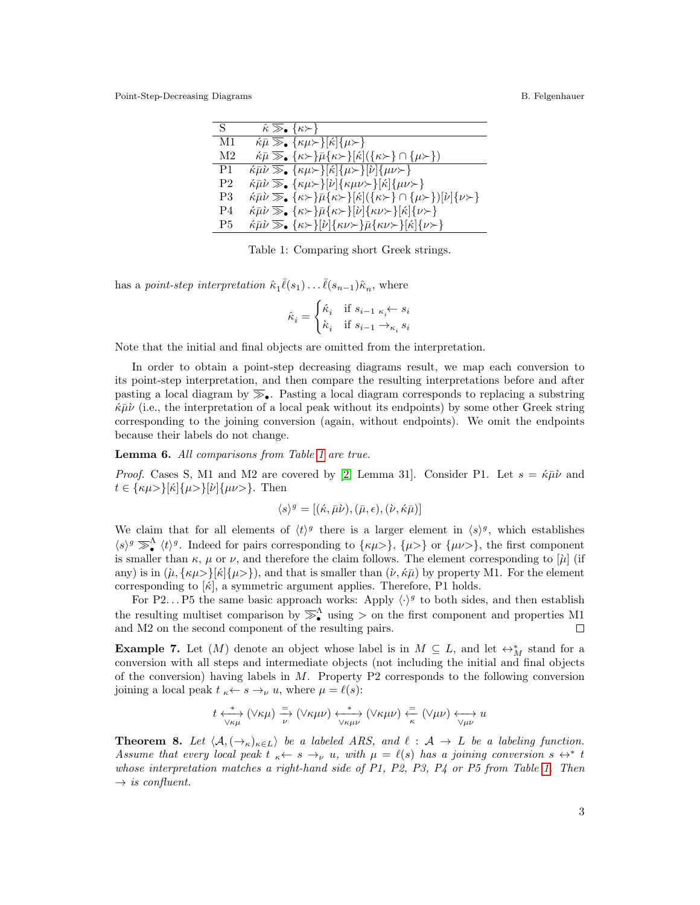<span id="page-2-0"></span>Point-Step-Decreasing Diagrams B. Felgenhauer

| S.             | $\hat{\kappa} \gg_{\bullet} {\{\kappa > \}}$                                                                                                                                         |
|----------------|--------------------------------------------------------------------------------------------------------------------------------------------------------------------------------------|
| M1             | $k\bar{\mu} \gg_{\bullet} {\kappa\mu \succ \kappa \kappa}$                                                                                                                           |
| M2             | $\kappa \bar{\mu} \gg_{\bullet} {\kappa > \bar{\mu} \{\kappa > \ \kappa\  (\{\kappa > \}\cap {\mu > \}})}$                                                                           |
| P1             | $\kappa \bar{\mu} \nu \gg_{\bullet} {\kappa \mu \succ \{\kappa \}} \{\kappa \mathcal{B} \nu \succ \{\nu \}} \{\mu \nu \succ \}$                                                      |
| P <sub>2</sub> | $k\bar{\mu}\nu \gg_{\bullet} {\kappa\mu \succ \varepsilon}$ $ \nu  {\kappa\mu\nu \succ \varepsilon}$ $ \kappa  {\mu\nu \succ \varepsilon}$                                           |
| P3             | $\kappa \bar{\mu} \bar{\nu} \gg_{\bullet} {\kappa > {\bar{\mu}} \{\kappa > {\bar{\kappa}} \}[\kappa](\{\kappa > \} \cap {\mu > {\bar{\kappa}} \}[\nu]{\nu} {\nu > {\bar{\kappa}} \}$ |
| P4             | $\hat{\kappa}$ $\bar{\mu}\nu \gg_{\bullet} {\kappa > \bar{\mu} \{\kappa > \bar{\nu} \}[\nu] \{\kappa \nu > \}[\kappa] \{\nu > \bar{\nu} \}$                                          |
| P5             | $\langle \kappa \bar{\mu} \nu \gg_{\bullet} {\kappa \succ \varepsilon}   \nu   \{\kappa \nu \succ \} \bar{\mu} {\kappa \nu \succ \varepsilon}   \kappa   \{\nu \succ \}$             |

Table 1: Comparing short Greek strings.

has a *point-step interpretation*  $\hat{\kappa}_1 \overline{\ell}(s_1) \dots \overline{\ell}(s_{n-1}) \hat{\kappa}_n$ , where

$$
\hat{\kappa}_i = \begin{cases} \acute{\kappa}_i & \text{if } s_{i-1} \; \kappa_i \!\leftarrow s_i \\ \grave{\kappa}_i & \text{if } s_{i-1} \to_{\kappa_i} s_i \end{cases}
$$

Note that the initial and final objects are omitted from the interpretation.

In order to obtain a point-step decreasing diagrams result, we map each conversion to its point-step interpretation, and then compare the resulting interpretations before and after pasting a local diagram by  $\overline{\gg}_{\bullet}$ . Pasting a local diagram corresponds to replacing a substring  $\kappa\bar{\mu}\nu$  (i.e., the interpretation of a local peak without its endpoints) by some other Greek string corresponding to the joining conversion (again, without endpoints). We omit the endpoints because their labels do not change.

<span id="page-2-1"></span>Lemma 6. All comparisons from Table [1](#page-2-0) are true.

*Proof.* Cases S, M1 and M2 are covered by [\[2,](#page-4-2) Lemma 31]. Consider P1. Let  $s = \kappa \bar{\mu} \nu$  and  $t \in {\kappa\mu>\}[\kappa]{\mu>\}[\nu]{\mu\nu>}$ . Then

$$
\langle s \rangle^g = [(\kappa, \bar{\mu}\nu), (\bar{\mu}, \epsilon), (\dot{\nu}, \kappa \bar{\mu})]
$$

We claim that for all elements of  $\langle t \rangle^g$  there is a larger element in  $\langle s \rangle^g$ , which establishes  $\langle s \rangle^g \gg_{\bullet}^{\Lambda} \langle t \rangle^g$ . Indeed for pairs corresponding to  $\{\kappa\mu>\}, \{\mu>\}$  or  $\{\mu\nu>\},$  the first component is smaller than  $\kappa$ ,  $\mu$  or  $\nu$ , and therefore the claim follows. The element corresponding to  $[\mu]$  (if any) is in  $(\mu, {\kappa\mu}>|K|{\mu}>)$ , and that is smaller than  $(\nu, \kappa\bar{\mu})$  by property M1. For the element corresponding to  $[\kappa]$ , a symmetric argument applies. Therefore, P1 holds.

For P2... P5 the same basic approach works: Apply  $\langle \cdot \rangle^g$  to both sides, and then establish the resulting multiset comparison by  $\overline{\gg}_{\bullet}^{\Lambda}$  using > on the first component and properties M1 and M2 on the second component of the resulting pairs.

**Example 7.** Let  $(M)$  denote an object whose label is in  $M \subseteq L$ , and let  $\leftrightarrow_M^*$  stand for a conversion with all steps and intermediate objects (not including the initial and final objects of the conversion) having labels in  $M$ . Property P2 corresponds to the following conversion joining a local peak  $t \underset{\kappa \leftarrow} \kappa \leftarrow s \rightarrow_{\nu} u$ , where  $\mu = \ell(s)$ :

$$
t \overset{*}{\underset{\forall \kappa\mu}{\longleftrightarrow}} (\forall \kappa\mu) \overset{=}{\underset{\nu}{\longrightarrow}} (\forall \kappa\mu\nu) \overset{*}{\underset{\forall \kappa\mu\nu}{\longleftrightarrow}} (\forall \kappa\mu\nu) \overset{=}{\underset{\kappa}{\longleftarrow}} (\forall \mu\nu) \overset{}{\underset{\forall \mu\nu}{\longleftrightarrow}} u
$$

<span id="page-2-2"></span>**Theorem 8.** Let  $\langle A, (\rightarrow_{\kappa})_{\kappa \in L} \rangle$  be a labeled ARS, and  $\ell : A \rightarrow L$  be a labeling function. Assume that every local peak  $t_{\kappa} \leftarrow s \rightarrow_{\nu} u$ , with  $\mu = \ell(s)$  has a joining conversion  $s \leftrightarrow^* t$ whose interpretation matches a right-hand side of P1, P2, P3, P4 or P5 from Table [1.](#page-2-0) Then  $\rightarrow$  is confluent.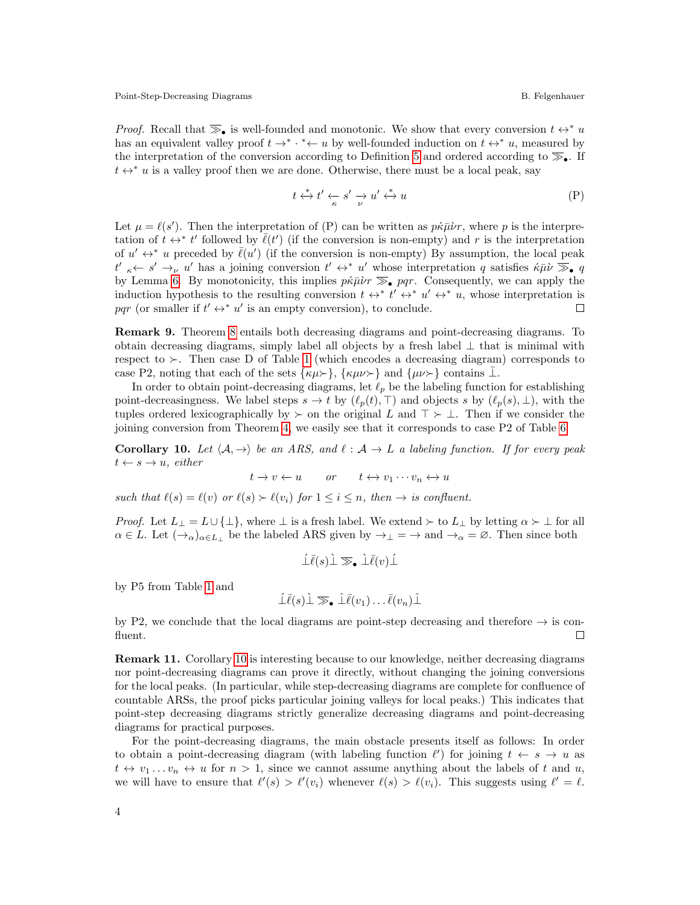*Proof.* Recall that  $\overline{\gg}_{\bullet}$  is well-founded and monotonic. We show that every conversion  $t \leftrightarrow^* u$ has an equivalent valley proof  $t \to^* \cdot^* \leftarrow u$  by well-founded induction on  $t \leftrightarrow^* u$ , measured by the interpretation of the conversion according to Definition [5](#page-1-3) and ordered according to  $\mathcal{F}_{\bullet}$ . If  $t \leftrightarrow^* u$  is a valley proof then we are done. Otherwise, there must be a local peak, say

$$
t \stackrel{*}{\leftrightarrow} t' \stackrel{\prime}{\leftarrow} s' \stackrel{\prime}{\rightarrow} u' \stackrel{*}{\leftrightarrow} u \tag{P}
$$

Let  $\mu = \ell(s')$ . Then the interpretation of (P) can be written as  $p\kappa\bar{\mu}\nu r$ , where p is the interpretation of  $\hat{t} \leftrightarrow^* t'$  followed by  $\overline{\ell}(t')$  (if the conversion is non-empty) and r is the interpretation of  $u' \leftrightarrow^* u$  preceded by  $\overline{\ell}(u')$  (if the conversion is non-empty) By assumption, the local peak  $t' \nightharpoonup t' \leftrightarrow^* u'$  whose interpretation q satisfies  $\langle k \rangle \overline{\gg}$ , q by Lemma [6.](#page-2-1) By monotonicity, this implies  $p\kappa\bar{\mu}\nu r\gg_p qr$ . Consequently, we can apply the induction hypothesis to the resulting conversion  $t \leftrightarrow^* t' \leftrightarrow^* u' \leftrightarrow^* u$ , whose interpretation is pqr (or smaller if  $t' \leftrightarrow^* u'$  is an empty conversion), to conclude.  $\Box$ 

Remark 9. Theorem [8](#page-2-2) entails both decreasing diagrams and point-decreasing diagrams. To obtain decreasing diagrams, simply label all objects by a fresh label ⊥ that is minimal with respect to  $\succ$ . Then case D of Table [1](#page-2-0) (which encodes a decreasing diagram) corresponds to case P2, noting that each of the sets  $\{\kappa\mu\}$ ,  $\{\kappa\mu\nu\}$  and  $\{\mu\nu\}$  contains ⊥.

In order to obtain point-decreasing diagrams, let  $\ell_p$  be the labeling function for establishing point-decreasingness. We label steps  $s \to t$  by  $(\ell_p(t), \top)$  and objects s by  $(\ell_p(s), \bot)$ , with the tuples ordered lexicographically by  $\succ$  on the original L and  $\top \succ \bot$ . Then if we consider the joining conversion from Theorem [4,](#page-1-4) we easily see that it corresponds to case P2 of Table [6.](#page-2-1)

<span id="page-3-0"></span>**Corollary 10.** Let  $\langle A, \rightarrow \rangle$  be an ARS, and  $\ell : A \rightarrow L$  a labeling function. If for every peak  $t \leftarrow s \rightarrow u$ , either

$$
t \to v \leftarrow u \qquad or \qquad t \leftrightarrow v_1 \cdots v_n \leftrightarrow u
$$

such that  $\ell(s) = \ell(v)$  or  $\ell(s) \succ \ell(v_i)$  for  $1 \leq i \leq n$ , then  $\rightarrow$  is confluent.

*Proof.* Let  $L_{\perp} = L \cup \{\perp\}$ , where  $\perp$  is a fresh label. We extend  $\succ$  to  $L_{\perp}$  by letting  $\alpha \succ \perp$  for all  $\alpha \in L$ . Let  $(\rightarrow_{\alpha})_{\alpha \in L_{\perp}}$  be the labeled ARS given by  $\rightarrow_{\perp} = \rightarrow$  and  $\rightarrow_{\alpha} = \emptyset$ . Then since both

$$
\hat{\bot}\bar{\ell}(s)\dot{\bot}\gg_\bullet\dot{\bot}\bar{\ell}(v)\acute{\bot}
$$

by P5 from Table [1](#page-2-0) and

$$
\hat{\perp}\bar{\ell}(s)\hat{\perp}\gg_{\bullet}\hat{\perp}\bar{\ell}(v_1)\ldots\bar{\ell}(v_n)\hat{\perp}
$$

by P2, we conclude that the local diagrams are point-step decreasing and therefore  $\rightarrow$  is confluent.  $\Box$ 

<span id="page-3-1"></span>Remark 11. Corollary [10](#page-3-0) is interesting because to our knowledge, neither decreasing diagrams nor point-decreasing diagrams can prove it directly, without changing the joining conversions for the local peaks. (In particular, while step-decreasing diagrams are complete for confluence of countable ARSs, the proof picks particular joining valleys for local peaks.) This indicates that point-step decreasing diagrams strictly generalize decreasing diagrams and point-decreasing diagrams for practical purposes.

For the point-decreasing diagrams, the main obstacle presents itself as follows: In order to obtain a point-decreasing diagram (with labeling function  $\ell'$ ) for joining  $t \leftarrow s \rightarrow u$  as  $t \leftrightarrow v_1 \dots v_n \leftrightarrow u$  for  $n > 1$ , since we cannot assume anything about the labels of t and u, we will have to ensure that  $\ell'(s) > \ell'(v_i)$  whenever  $\ell(s) > \ell(v_i)$ . This suggests using  $\ell' = \ell$ .